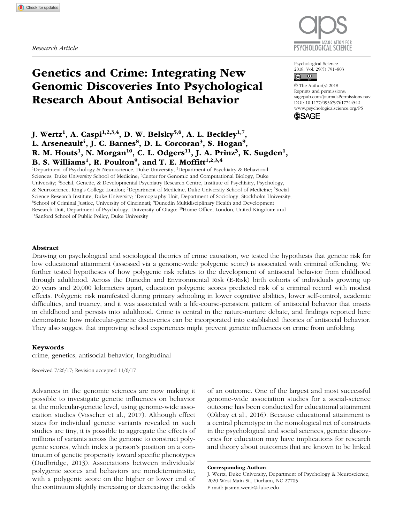

Psychological Science 2018, Vol. 29(5) 791–803  $\circ$   $\circ$ 

DOI: 10.1177/0956797617744542 © The Author(s) 2018 Reprints and permissions: sagepub.com/journalsPermissions.nav [www.psychologicalscience.org/PS](http://www.psychologicalscience.org/ps)



# J. Wertz<sup>1</sup>, A. Caspi<sup>1,2,3,4</sup>, D. W. Belsky<sup>5,6</sup>, A. L. Beckley<sup>1,7</sup>, L. Arseneault<sup>4</sup>, J. C. Barnes<sup>8</sup>, D. L. Corcoran<sup>3</sup>, S. Hogan<sup>9</sup>, R. M. Houts<sup>1</sup>, N. Morgan<sup>10</sup>, C. L. Odgers<sup>11</sup>, J. A. Prinz<sup>3</sup>, K. Sugden<sup>1</sup>, B. S. Williams<sup>1</sup>, R. Poulton<sup>9</sup>, and T. E. Moffitt<sup>1,2,3,4</sup>

Genetics and Crime: Integrating New

Research About Antisocial Behavior

Genomic Discoveries Into Psychological

<sup>1</sup>Department of Psychology & Neuroscience, Duke University; <sup>2</sup>Department of Psychiatry & Behavioral Sciences, Duke University School of Medicine; <sup>3</sup>Center for Genomic and Computational Biology, Duke University; 4 Social, Genetic, & Developmental Psychiatry Research Centre, Institute of Psychiatry, Psychology, & Neuroscience, King's College London; <sup>5</sup>Department of Medicine, Duke University School of Medicine; <sup>6</sup>Social Science Research Institute, Duke University; <sup>7</sup>Demography Unit, Department of Sociology, Stockholm University;<br><sup>8</sup>School of Criminal Justice, University of Cincinnati<sup>, 9</sup>Dunedin Multidisciplinary Health and Development School of Criminal Justice, University of Cincinnati; <sup>9</sup>Dunedin Multidisciplinary Health and Development Research Unit, Department of Psychology, University of Otago; 10Home Office, London, United Kingdom; and 11Sanford School of Public Policy, Duke University

#### Abstract

Drawing on psychological and sociological theories of crime causation, we tested the hypothesis that genetic risk for low educational attainment (assessed via a genome-wide polygenic score) is associated with criminal offending. We further tested hypotheses of how polygenic risk relates to the development of antisocial behavior from childhood through adulthood. Across the Dunedin and Environmental Risk (E-Risk) birth cohorts of individuals growing up 20 years and 20,000 kilometers apart, education polygenic scores predicted risk of a criminal record with modest effects. Polygenic risk manifested during primary schooling in lower cognitive abilities, lower self-control, academic difficulties, and truancy, and it was associated with a life-course-persistent pattern of antisocial behavior that onsets in childhood and persists into adulthood. Crime is central in the nature-nurture debate, and findings reported here demonstrate how molecular-genetic discoveries can be incorporated into established theories of antisocial behavior. They also suggest that improving school experiences might prevent genetic influences on crime from unfolding.

### Keywords

crime, genetics, antisocial behavior, longitudinal

Received 7/26/17; Revision accepted 11/6/17

Advances in the genomic sciences are now making it possible to investigate genetic influences on behavior at the molecular-genetic level, using genome-wide association studies (Visscher et al., 2017). Although effect sizes for individual genetic variants revealed in such studies are tiny, it is possible to aggregate the effects of millions of variants across the genome to construct polygenic scores, which index a person's position on a continuum of genetic propensity toward specific phenotypes (Dudbridge, 2013). Associations between individuals' polygenic scores and behaviors are nondeterministic, with a polygenic score on the higher or lower end of the continuum slightly increasing or decreasing the odds

of an outcome. One of the largest and most successful genome-wide association studies for a social-science outcome has been conducted for educational attainment (Okbay et al., 2016). Because educational attainment is a central phenotype in the nomological net of constructs in the psychological and social sciences, genetic discoveries for education may have implications for research and theory about outcomes that are known to be linked

Corresponding Author:

J. Wertz, Duke University, Department of Psychology & Neuroscience, 2020 West Main St., Durham, NC 27705 E-mail: [jasmin.wertz@duke.edu](mailto:jasmin.wertz@duke.edu)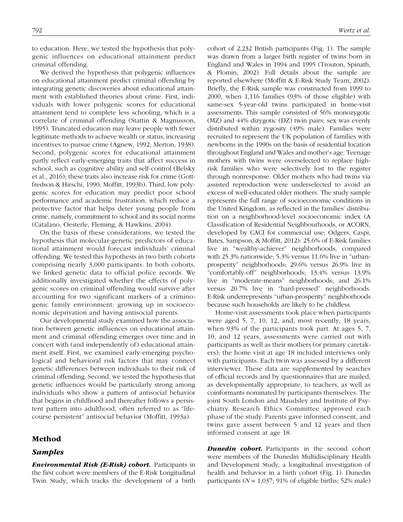to education. Here, we tested the hypothesis that polygenic influences on educational attainment predict criminal offending.

We derived the hypothesis that polygenic influences on educational attainment predict criminal offending by integrating genetic discoveries about educational attainment with established theories about crime. First, individuals with lower polygenic scores for educational attainment tend to complete less schooling, which is a correlate of criminal offending (Stattin & Magnusson, 1995). Truncated education may leave people with fewer legitimate methods to achieve wealth or status, increasing incentives to pursue crime (Agnew, 1992; Merton, 1938). Second, polygenic scores for educational attainment partly reflect early-emerging traits that affect success in school, such as cognitive ability and self-control (Belsky et al., 2016); these traits also increase risk for crime (Gottfredson & Hirschi, 1990; Moffitt, 1993b). Third, low polygenic scores for education may predict poor school performance and academic frustration, which reduce a protective factor that helps deter young people from crime, namely, commitment to school and its social norms (Catalano, Oesterle, Fleming, & Hawkins, 2004).

On the basis of these considerations, we tested the hypothesis that molecular-genetic predictors of educational attainment would forecast individuals' criminal offending. We tested this hypothesis in two birth cohorts comprising nearly 3,000 participants. In both cohorts, we linked genetic data to official police records. We additionally investigated whether the effects of polygenic scores on criminal offending would survive after accounting for two significant markers of a criminogenic family environment: growing up in socioeconomic deprivation and having antisocial parents.

Our developmental study examined how the association between genetic influences on educational attainment and criminal offending emerges over time and in concert with (and independently of) educational attainment itself. First, we examined early-emerging psychological and behavioral risk factors that may connect genetic differences between individuals to their risk of criminal offending. Second, we tested the hypothesis that genetic influences would be particularly strong among individuals who show a pattern of antisocial behavior that begins in childhood and thereafter follows a persistent pattern into adulthood, often referred to as "lifecourse persistent" antisocial behavior (Moffitt, 1993a).

### Method

### *Samples*

*Environmental Risk (E-Risk) cohort.* Participants in the first cohort were members of the E-Risk Longitudinal Twin Study, which tracks the development of a birth cohort of 2,232 British participants (Fig. 1). The sample was drawn from a larger birth register of twins born in England and Wales in 1994 and 1995 (Trouton, Spinath, & Plomin, 2002). Full details about the sample are reported elsewhere (Moffitt & E-Risk Study Team, 2002). Briefly, the E-Risk sample was constructed from 1999 to 2000, when 1,116 families (93% of those eligible) with same-sex 5-year-old twins participated in home-visit assessments. This sample consisted of 56% monozygotic (MZ) and 44% dizygotic (DZ) twin pairs; sex was evenly distributed within zygosity (49% male). Families were recruited to represent the UK population of families with newborns in the 1990s on the basis of residential location throughout England and Wales and mother's age. Teenage mothers with twins were overselected to replace highrisk families who were selectively lost to the register through nonresponse. Older mothers who had twins via assisted reproduction were underselected to avoid an excess of well-educated older mothers. The study sample represents the full range of socioeconomic conditions in the United Kingdom, as reflected in the families' distribution on a neighborhood-level socioeconomic index (A Classification of Residential Neighbourhoods, or ACORN, developed by CACI for commercial use; Odgers, Caspi, Bates, Sampson, & Moffitt, 2012): 25.6% of E-Risk families live in "wealthy-achiever" neighborhoods, compared with 25.3% nationwide; 5.3% versus 11.6% live in "urbanprosperity" neighborhoods; 29.6% versus 26.9% live in "comfortably-off" neighborhoods; 13.4% versus 13.9% live in "moderate-means" neighborhoods; and 26.1% versus 20.7% live in "hard-pressed" neighborhoods. E-Risk underrepresents "urban-prosperity" neighborhoods because such households are likely to be childless.

Home-visit assessments took place when participants were aged 5, 7, 10, 12, and, most recently, 18 years, when 93% of the participants took part. At ages 5, 7, 10, and 12 years, assessments were carried out with participants as well as their mothers (or primary caretakers); the home visit at age 18 included interviews only with participants. Each twin was assessed by a different interviewer. These data are supplemented by searches of official records and by questionnaires that are mailed, as developmentally appropriate, to teachers, as well as coinformants nominated by participants themselves. The joint South London and Maudsley and Institute of Psychiatry Research Ethics Committee approved each phase of the study. Parents gave informed consent, and twins gave assent between 5 and 12 years and then informed consent at age 18.

*Dunedin cobort.* Participants in the second cohort were members of the Dunedin Multidisciplinary Health and Development Study, a longitudinal investigation of health and behavior in a birth cohort (Fig. 1). Dunedin participants ( $N = 1,037$ ; 91% of eligible births; 52% male)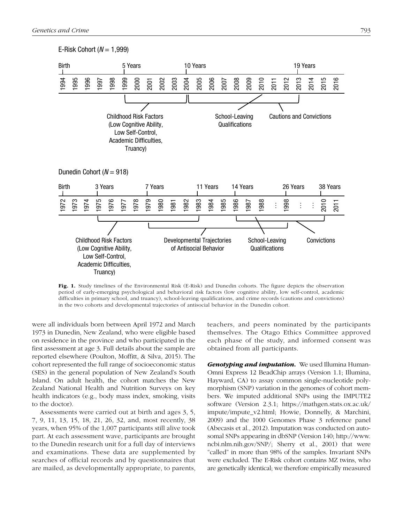

Fig. 1. Study timelines of the Environmental Risk (E-Risk) and Dunedin cohorts. The figure depicts the observation period of early-emerging psychological and behavioral risk factors (low cognitive ability, low self-control, academic difficulties in primary school, and truancy), school-leaving qualifications, and crime records (cautions and convictions) in the two cohorts and developmental trajectories of antisocial behavior in the Dunedin cohort.

were all individuals born between April 1972 and March 1973 in Dunedin, New Zealand, who were eligible based on residence in the province and who participated in the first assessment at age 3. Full details about the sample are reported elsewhere (Poulton, Moffitt, & Silva, 2015). The cohort represented the full range of socioeconomic status (SES) in the general population of New Zealand's South Island. On adult health, the cohort matches the New Zealand National Health and Nutrition Surveys on key health indicators (e.g., body mass index, smoking, visits to the doctor).

Assessments were carried out at birth and ages 3, 5, 7, 9, 11, 13, 15, 18, 21, 26, 32, and, most recently, 38 years, when 95% of the 1,007 participants still alive took part. At each assessment wave, participants are brought to the Dunedin research unit for a full day of interviews and examinations. These data are supplemented by searches of official records and by questionnaires that are mailed, as developmentally appropriate, to parents, teachers, and peers nominated by the participants themselves. The Otago Ethics Committee approved each phase of the study, and informed consent was obtained from all participants.

*Genotyping and imputation.* We used Illumina Human-Omni Express 12 BeadChip arrays (Version 1.1; Illumina, Hayward, CA) to assay common single-nucleotide polymorphism (SNP) variation in the genomes of cohort members. We imputed additional SNPs using the IMPUTE2 software (Version 2.3.1; [https://mathgen.stats.ox.ac.uk/](https://mathgen.stats.ox.ac.uk/impute/impute_v2.html) [impute/impute\\_v2.html](https://mathgen.stats.ox.ac.uk/impute/impute_v2.html); Howie, Donnelly, & Marchini, 2009) and the 1000 Genomes Phase 3 reference panel (Abecasis et al., 2012). Imputation was conducted on autosomal SNPs appearing in dbSNP (Version 140; [http://www.](http://www.ncbi.nlm.nih.gov/SNP/) [ncbi.nlm.nih.gov/SNP/;](http://www.ncbi.nlm.nih.gov/SNP/) Sherry et al., 2001) that were "called" in more than 98% of the samples. Invariant SNPs were excluded. The E-Risk cohort contains MZ twins, who are genetically identical; we therefore empirically measured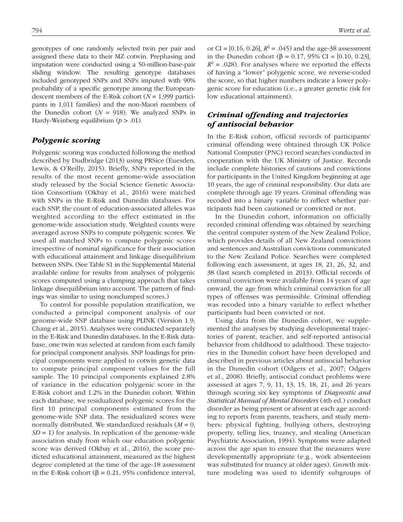genotypes of one randomly selected twin per pair and assigned these data to their MZ cotwin. Prephasing and imputation were conducted using a 50-million-base-pair sliding window. The resulting genotype databases included genotyped SNPs and SNPs imputed with 90% probability of a specific genotype among the Europeandescent members of the E-Risk cohort (*N* = 1,999 participants in 1,011 families) and the non-Maori members of the Dunedin cohort  $(N = 918)$ . We analyzed SNPs in Hardy-Weinberg equilibrium (*p* > .01).

### *Polygenic scoring*

Polygenic scoring was conducted following the method described by Dudbridge (2013) using PRSice (Euesden, Lewis, & O'Reilly, 2015). Briefly, SNPs reported in the results of the most recent genome-wide association study released by the Social Science Genetic Association Consortium (Okbay et al., 2016) were matched with SNPs in the E-Risk and Dunedin databases. For each SNP, the count of education-associated alleles was weighted according to the effect estimated in the genome-wide association study. Weighted counts were averaged across SNPs to compute polygenic scores. We used all matched SNPs to compute polygenic scores irrespective of nominal significance for their association with educational attainment and linkage disequilibrium between SNPs. (see [Table S1 in the Supplemental Material](http://journals.sagepub.com/doi/suppl/10.1177/0956797617744542) available online for results from analyses of polygenic scores computed using a clumping approach that takes linkage disequilibrium into account. The pattern of findings was similar to using nonclumped scores.)

To control for possible population stratification, we conducted a principal component analysis of our genome-wide SNP database using PLINK (Version 1.9; Chang et al., 2015). Analyses were conducted separately in the E-Risk and Dunedin databases. In the E-Risk database, one twin was selected at random from each family for principal component analysis. SNP loadings for principal components were applied to cotwin genetic data to compute principal component values for the full sample. The 10 principal components explained 2.8% of variance in the education polygenic score in the E-Risk cohort and 1.2% in the Dunedin cohort. Within each database, we residualized polygenic scores for the first 10 principal components estimated from the genome-wide SNP data. The residualized scores were normally distributed. We standardized residuals  $(M = 0)$ , *SD* = 1) for analysis. In replication of the genome-wide association study from which our education polygenic score was derived (Okbay et al., 2016), the score predicted educational attainment, measured as the highest degree completed at the time of the age-18 assessment in the E-Risk cohort ( $β = 0.21$ , 95% confidence interval,

or CI =  $[0.16, 0.26]$ ,  $R^2 = .045$ ) and the age-38 assessment in the Dunedin cohort (β = 0.17, 95% CI = [0.10, 0.23],  $R^2$  = .028). For analyses where we reported the effects of having a "lower" polygenic score, we reverse-coded the score, so that higher numbers indicate a lower polygenic score for education (i.e., a greater genetic risk for low educational attainment).

### *Criminal offending and trajectories of antisocial behavior*

In the E-Risk cohort, official records of participants' criminal offending were obtained through UK Police National Computer (PNC) record searches conducted in cooperation with the UK Ministry of Justice. Records include complete histories of cautions and convictions for participants in the United Kingdom beginning at age 10 years, the age of criminal responsibility. Our data are complete through age 19 years. Criminal offending was recoded into a binary variable to reflect whether participants had been cautioned or convicted or not.

In the Dunedin cohort, information on officially recorded criminal offending was obtained by searching the central computer system of the New Zealand Police, which provides details of all New Zealand convictions and sentences and Australian convictions communicated to the New Zealand Police. Searches were completed following each assessment, at ages 18, 21, 26, 32, and 38 (last search completed in 2013). Official records of criminal conviction were available from 14 years of age onward, the age from which criminal conviction for all types of offenses was permissible. Criminal offending was recoded into a binary variable to reflect whether participants had been convicted or not.

Using data from the Dunedin cohort, we supplemented the analyses by studying developmental trajectories of parent, teacher, and self-reported antisocial behavior from childhood to adulthood. These trajectories in the Dunedin cohort have been developed and described in previous articles about antisocial behavior in the Dunedin cohort (Odgers et al., 2007; Odgers et al., 2008). Briefly, antisocial conduct problems were assessed at ages 7, 9, 11, 13, 15, 18, 21, and 26 years through scoring six key symptoms of *Diagnostic and Statistical Manual of Mental Disorders* (4th ed.) conduct disorder as being present or absent at each age according to reports from parents, teachers, and study members: physical fighting, bullying others, destroying property, telling lies, truancy, and stealing (American Psychiatric Association, 1994). Symptoms were adapted across the age span to ensure that the measures were developmentally appropriate (e.g., work absenteeism was substituted for truancy at older ages). Growth mixture modeling was used to identify subgroups of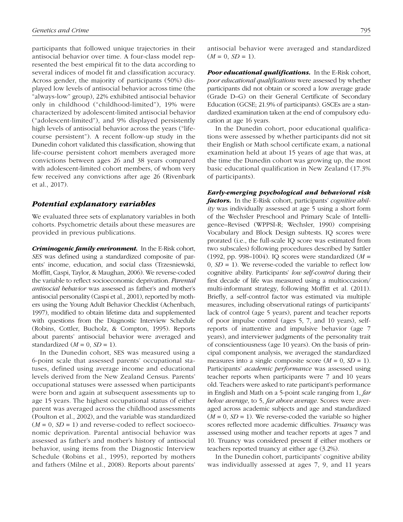participants that followed unique trajectories in their antisocial behavior over time. A four-class model represented the best empirical fit to the data according to several indices of model fit and classification accuracy. Across gender, the majority of participants (50%) displayed low levels of antisocial behavior across time (the "always-low" group), 22% exhibited antisocial behavior only in childhood ("childhood-limited"), 19% were characterized by adolescent-limited antisocial behavior ("adolescent-limited"), and 9% displayed persistently high levels of antisocial behavior across the years ("lifecourse persistent"). A recent follow-up study in the Dunedin cohort validated this classification, showing that life-course persistent cohort members averaged more convictions between ages 26 and 38 years compared with adolescent-limited cohort members, of whom very few received any convictions after age 26 (Rivenbark et al., 2017).

### *Potential explanatory variables*

We evaluated three sets of explanatory variables in both cohorts. Psychometric details about these measures are provided in previous publications.

*Criminogenic family environment.* In the E-Risk cohort, *SES* was defined using a standardized composite of parents' income, education, and social class (Trzesniewski, Moffitt, Caspi, Taylor, & Maughan, 2006). We reverse-coded the variable to reflect socioeconomic deprivation. *Parental antisocial behavior* was assessed as father's and mother's antisocial personality (Caspi et al., 2001), reported by mothers using the Young Adult Behavior Checklist (Achenbach, 1997), modified to obtain lifetime data and supplemented with questions from the Diagnostic Interview Schedule (Robins, Cottler, Bucholz, & Compton, 1995). Reports about parents' antisocial behavior were averaged and standardized  $(M = 0, SD = 1)$ .

In the Dunedin cohort, SES was measured using a 6-point scale that assessed parents' occupational statuses, defined using average income and educational levels derived from the New Zealand Census. Parents' occupational statuses were assessed when participants were born and again at subsequent assessments up to age 15 years. The highest occupational status of either parent was averaged across the childhood assessments (Poulton et al., 2002), and the variable was standardized  $(M = 0, SD = 1)$  and reverse-coded to reflect socioeconomic deprivation. Parental antisocial behavior was assessed as father's and mother's history of antisocial behavior, using items from the Diagnostic Interview Schedule (Robins et al., 1995), reported by mothers and fathers (Milne et al., 2008). Reports about parents' antisocial behavior were averaged and standardized  $(M = 0, SD = 1).$ 

*Poor educational qualifications.* In the E-Risk cohort, *poor educational qualifications* were assessed by whether participants did not obtain or scored a low average grade (Grade D–G) on their General Certificate of Secondary Education (GCSE; 21.9% of participants). GSCEs are a standardized examination taken at the end of compulsory education at age 16 years.

In the Dunedin cohort, poor educational qualifications were assessed by whether participants did not sit their English or Math school certificate exam, a national examination held at about 15 years of age that was, at the time the Dunedin cohort was growing up, the most basic educational qualification in New Zealand (17.3% of participants).

*Early-emerging psychological and behavioral risk factors.* In the E-Risk cohort, participants' *cognitive ability* was individually assessed at age 5 using a short form of the Wechsler Preschool and Primary Scale of Intelligence–Revised (WPPSI-R; Wechsler, 1990) comprising Vocabulary and Block Design subtests. IQ scores were prorated (i.e., the full-scale IQ score was estimated from two subscales) following procedures described by Sattler (1992, pp. 998–1004). IQ scores were standardized (*M* =  $0, SD = 1$ ). We reverse-coded the variable to reflect low cognitive ability. Participants' *low self-control* during their first decade of life was measured using a multioccasion/ multi-informant strategy, following Moffitt et al. (2011). Briefly, a self-control factor was estimated via multiple measures, including observational ratings of participants' lack of control (age 5 years), parent and teacher reports of poor impulse control (ages 5, 7, and 10 years), selfreports of inattentive and impulsive behavior (age 7 years), and interviewer judgments of the personality trait of conscientiousness (age 10 years). On the basis of principal component analysis, we averaged the standardized measures into a single composite score  $(M = 0, SD = 1)$ . Participants' *academic performance* was assessed using teacher reports when participants were 7 and 10 years old. Teachers were asked to rate participant's performance in English and Math on a 5-point scale ranging from 1, *far below average*, to 5, *far above average*. Scores were averaged across academic subjects and age and standardized  $(M = 0, SD = 1)$ . We reverse-coded the variable so higher scores reflected more academic difficulties. *Truancy* was assessed using mother and teacher reports at ages 7 and 10. Truancy was considered present if either mothers or teachers reported truancy at either age (3.2%).

In the Dunedin cohort, participants' cognitive ability was individually assessed at ages 7, 9, and 11 years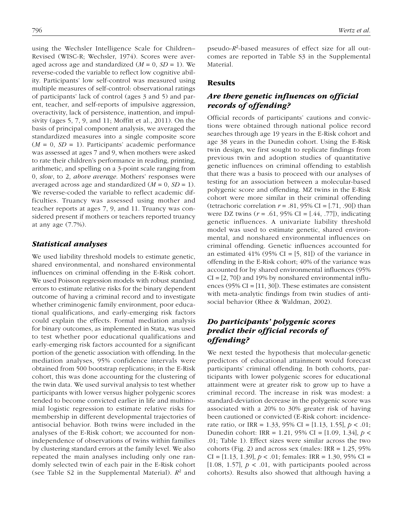using the Wechsler Intelligence Scale for Children– Revised (WISC-R; Wechsler, 1974). Scores were averaged across age and standardized  $(M = 0, SD = 1)$ . We reverse-coded the variable to reflect low cognitive ability. Participants' low self-control was measured using multiple measures of self-control: observational ratings of participants' lack of control (ages 3 and 5) and parent, teacher, and self-reports of impulsive aggression, overactivity, lack of persistence, inattention, and impulsivity (ages 5, 7, 9, and 11; Moffitt et al., 2011). On the basis of principal component analysis, we averaged the standardized measures into a single composite score  $(M = 0, SD = 1)$ . Participants' academic performance was assessed at ages 7 and 9, when mothers were asked to rate their children's performance in reading, printing, arithmetic, and spelling on a 3-point scale ranging from 0, *slow*, to 2, *above average*. Mothers' responses were averaged across age and standardized  $(M = 0, SD = 1)$ . We reverse-coded the variable to reflect academic difficulties. Truancy was assessed using mother and teacher reports at ages 7, 9, and 11. Truancy was considered present if mothers or teachers reported truancy at any age (7.7%).

### *Statistical analyses*

We used liability threshold models to estimate genetic, shared environmental, and nonshared environmental influences on criminal offending in the E-Risk cohort. We used Poisson regression models with robust standard errors to estimate relative risks for the binary dependent outcome of having a criminal record and to investigate whether criminogenic family environment, poor educational qualifications, and early-emerging risk factors could explain the effects. Formal mediation analysis for binary outcomes, as implemented in Stata, was used to test whether poor educational qualifications and early-emerging risk factors accounted for a significant portion of the genetic association with offending. In the mediation analyses, 95% confidence intervals were obtained from 500 bootstrap replications; in the E-Risk cohort, this was done accounting for the clustering of the twin data. We used survival analysis to test whether participants with lower versus higher polygenic scores tended to become convicted earlier in life and multinomial logistic regression to estimate relative risks for membership in different developmental trajectories of antisocial behavior. Both twins were included in the analyses of the E-Risk cohort; we accounted for nonindependence of observations of twins within families by clustering standard errors at the family level. We also repeated the main analyses including only one randomly selected twin of each pair in the E-Risk cohort (see [Table S2 in the Supplemental Material\)](http://journals.sagepub.com/doi/suppl/10.1177/0956797617744542).  $R^2$  and

pseudo-*R*<sup>2</sup> -based measures of effect size for all outcomes are reported in [Table S3 in the Supplemental](http://journals.sagepub.com/doi/suppl/10.1177/0956797617744542)  [Material.](http://journals.sagepub.com/doi/suppl/10.1177/0956797617744542)

### Results

### *Are there genetic influences on official records of offending?*

Official records of participants' cautions and convictions were obtained through national police record searches through age 19 years in the E-Risk cohort and age 38 years in the Dunedin cohort. Using the E-Risk twin design, we first sought to replicate findings from previous twin and adoption studies of quantitative genetic influences on criminal offending to establish that there was a basis to proceed with our analyses of testing for an association between a molecular-based polygenic score and offending. MZ twins in the E-Risk cohort were more similar in their criminal offending (tetrachoric correlation  $r = .81,95\%$  CI = [.71, .90]) than were DZ twins (*r* = .61, 95% CI = [.44, .77]), indicating genetic influences. A univariate liability threshold model was used to estimate genetic, shared environmental, and nonshared environmental influences on criminal offending. Genetic influences accounted for an estimated  $41\%$  (95% CI = [5, 81]) of the variance in offending in the E-Risk cohort; 40% of the variance was accounted for by shared environmental influences (95%  $CI = [2, 70]$  and 19% by nonshared environmental influences (95% CI =  $[11, 30]$ ). These estimates are consistent with meta-analytic findings from twin studies of antisocial behavior (Rhee & Waldman, 2002).

## *Do participants' polygenic scores predict their official records of offending?*

We next tested the hypothesis that molecular-genetic predictors of educational attainment would forecast participants' criminal offending. In both cohorts, participants with lower polygenic scores for educational attainment were at greater risk to grow up to have a criminal record. The increase in risk was modest: a standard-deviation decrease in the polygenic score was associated with a 20% to 30% greater risk of having been cautioned or convicted (E-Risk cohort: incidencerate ratio, or IRR = 1.33, 95% CI = [1.13, 1.55], *p* < .01; Dunedin cohort: IRR = 1.21, 95% CI = [1.09, 1.34], *p* < .01; Table 1). Effect sizes were similar across the two cohorts (Fig. 2) and across sex (males:  $IRR = 1.25$ , 95% CI = [1.13, 1.39], *p* < .01; females: IRR = 1.30, 95% CI = [1.08, 1.57],  $p < .01$ , with participants pooled across cohorts). Results also showed that although having a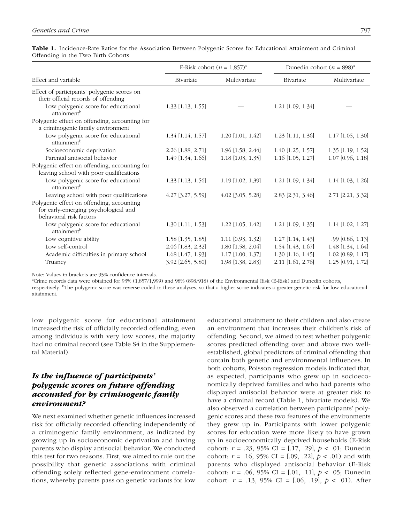| Effect and variable                                                                                          | E-Risk cohort ( $n = 1.857$ ) <sup>a</sup> |                            | Dunedin cohort ( $n = 898$ <sup>a</sup> |                     |
|--------------------------------------------------------------------------------------------------------------|--------------------------------------------|----------------------------|-----------------------------------------|---------------------|
|                                                                                                              | Bivariate                                  | Multivariate               | Bivariate                               | Multivariate        |
| Effect of participants' polygenic scores on<br>their official records of offending                           |                                            |                            |                                         |                     |
| Low polygenic score for educational<br>attainment <sup>b</sup>                                               | 1.33 [1.13, 1.55]                          |                            | $1.21$ [1.09, 1.34]                     |                     |
| Polygenic effect on offending, accounting for<br>a criminogenic family environment                           |                                            |                            |                                         |                     |
| Low polygenic score for educational<br>attainment <sup>b</sup>                                               | 1.34 [1.14, 1.57]                          | $1.20$ [ $1.01$ , $1.42$ ] | 1.23 [1.11, 1.36]                       | $1.17$ [1.05, 1.30] |
| Socioeconomic deprivation                                                                                    | 2.26 [1.88, 2.71]                          | 1.96 [1.58, 2.44]          | 1.40 [1.25, 1.57]                       | 1.35 [1.19, 1.52]   |
| Parental antisocial behavior                                                                                 | 1.49 [1.34, 1.66]                          | 1.18 [1.03, 1.35]          | 1.16 [1.05, 1.27]                       | 1.07 [0.96, 1.18]   |
| Polygenic effect on offending, accounting for<br>leaving school with poor qualifications                     |                                            |                            |                                         |                     |
| Low polygenic score for educational<br>attainment <sup>b</sup>                                               | $1.33$ [1.13, 1.56]                        | $1.19$ [1.02, 1.39]        | $1.21$ [1.09, 1.34]                     | $1.14$ [1.03, 1.26] |
| Leaving school with poor qualifications                                                                      | 4.27 [3.27, 5.59]                          | $4.02$ [3.05, 5.28]        | 2.83 [2.31, 3.46]                       | 2.71 [2.21, 3.32]   |
| Polygenic effect on offending, accounting<br>for early-emerging psychological and<br>behavioral risk factors |                                            |                            |                                         |                     |
| Low polygenic score for educational<br>attainment <sup>b</sup>                                               | $1.30$ [1.11, 1.53]                        | $1.22$ [1.05, 1.42]        | $1.21$ [1.09, 1.35]                     | $1.14$ [1.02, 1.27] |
| Low cognitive ability                                                                                        | 1.58 [1.35, 1.85]                          | 1.11 [0.93, 1.32]          | $1.27$ [1.14, 1.43]                     | .99 [0.86, 1.13]    |
| Low self-control                                                                                             | 2.06 [1.83, 2.32]                          | 1.80 [1.58, 2.04]          | 1.54 [1.43, 1.67]                       | 1.48 [1.34, 1.64]   |
| Academic difficulties in primary school                                                                      | $1.68$ [1.47, 1.93]                        | $1.17$ [1.00, 1.37]        | $1.30$ [1.16, 1.45]                     | $1.02$ [0.89, 1.17] |
| Truancy                                                                                                      | 3.92 [2.65, 5.80]                          | 1.98 [1.38, 2.83]          | 2.11 [1.61, 2.76]                       | 1.25 [0.91, 1.72]   |

Table 1. Incidence-Rate Ratios for the Association Between Polygenic Scores for Educational Attainment and Criminal Offending in the Two Birth Cohorts

Note: Values in brackets are 95% confidence intervals.

a Crime records data were obtained for 93% (1,857/1,999) and 98% (898/918) of the Environmental Risk (E-Risk) and Dunedin cohorts,

respectively. <sup>b</sup>The polygenic score was reverse-coded in these analyses, so that a higher score indicates a greater genetic risk for low educational attainment.

low polygenic score for educational attainment increased the risk of officially recorded offending, even among individuals with very low scores, the majority had no criminal record (see [Table S4 in the Supplemen](http://journals.sagepub.com/doi/suppl/10.1177/0956797617744542)[tal Material](http://journals.sagepub.com/doi/suppl/10.1177/0956797617744542)).

## *Is the influence of participants' polygenic scores on future offending accounted for by criminogenic family environment?*

We next examined whether genetic influences increased risk for officially recorded offending independently of a criminogenic family environment, as indicated by growing up in socioeconomic deprivation and having parents who display antisocial behavior. We conducted this test for two reasons. First, we aimed to rule out the possibility that genetic associations with criminal offending solely reflected gene-environment correlations, whereby parents pass on genetic variants for low educational attainment to their children and also create an environment that increases their children's risk of offending. Second, we aimed to test whether polygenic scores predicted offending over and above two wellestablished, global predictors of criminal offending that contain both genetic and environmental influences. In both cohorts, Poisson regression models indicated that, as expected, participants who grew up in socioeconomically deprived families and who had parents who displayed antisocial behavior were at greater risk to have a criminal record (Table 1, bivariate models). We also observed a correlation between participants' polygenic scores and these two features of the environments they grew up in. Participants with lower polygenic scores for education were more likely to have grown up in socioeconomically deprived households (E-Risk cohort: *r* = .23, 95% CI = [.17, .29], *p* < .01; Dunedin cohort: *r* = .16, 95% CI = [.09, .22], *p* < .01) and with parents who displayed antisocial behavior (E-Risk cohort: *r* = .06, 95% CI = [.01, .11], *p* < .05; Dunedin cohort: *r* = .13, 95% CI = [.06, .19], *p* < .01). After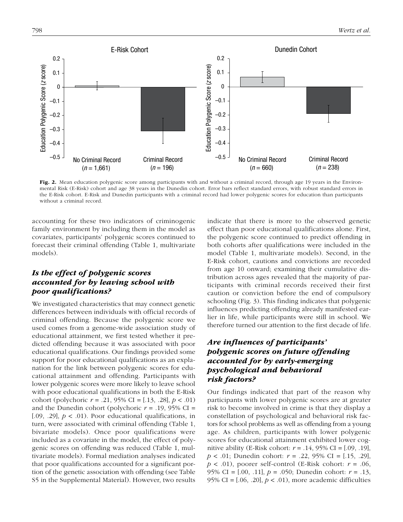

Fig. 2. Mean education polygenic score among participants with and without a criminal record, through age 19 years in the Environmental Risk (E-Risk) cohort and age 38 years in the Dunedin cohort. Error bars reflect standard errors, with robust standard errors in the E-Risk cohort. E-Risk and Dunedin participants with a criminal record had lower polygenic scores for education than participants without a criminal record.

accounting for these two indicators of criminogenic family environment by including them in the model as covariates, participants' polygenic scores continued to forecast their criminal offending (Table 1, multivariate models).

## *Is the effect of polygenic scores accounted for by leaving school with poor qualifications?*

We investigated characteristics that may connect genetic differences between individuals with official records of criminal offending. Because the polygenic score we used comes from a genome-wide association study of educational attainment, we first tested whether it predicted offending because it was associated with poor educational qualifications. Our findings provided some support for poor educational qualifications as an explanation for the link between polygenic scores for educational attainment and offending. Participants with lower polygenic scores were more likely to leave school with poor educational qualifications in both the E-Risk cohort (polychoric *r* = .21, 95% CI = [.13, .28], *p* < .01) and the Dunedin cohort (polychoric  $r = .19, 95\%$  CI = [.09, .29],  $p < .01$ ). Poor educational qualifications, in turn, were associated with criminal offending (Table 1, bivariate models). Once poor qualifications were included as a covariate in the model, the effect of polygenic scores on offending was reduced (Table 1, multivariate models). Formal mediation analyses indicated that poor qualifications accounted for a significant portion of the genetic association with offending (see [Table](http://journals.sagepub.com/doi/suppl/10.1177/0956797617744542) [S5 in the Supplemental Material\)](http://journals.sagepub.com/doi/suppl/10.1177/0956797617744542). However, two results indicate that there is more to the observed genetic effect than poor educational qualifications alone. First, the polygenic score continued to predict offending in both cohorts after qualifications were included in the model (Table 1, multivariate models). Second, in the E-Risk cohort, cautions and convictions are recorded from age 10 onward; examining their cumulative distribution across ages revealed that the majority of participants with criminal records received their first caution or conviction before the end of compulsory schooling (Fig. 3). This finding indicates that polygenic influences predicting offending already manifested earlier in life, while participants were still in school. We therefore turned our attention to the first decade of life.

## *Are influences of participants' polygenic scores on future offending accounted for by early-emerging psychological and behavioral risk factors?*

Our findings indicated that part of the reason why participants with lower polygenic scores are at greater risk to become involved in crime is that they display a constellation of psychological and behavioral risk factors for school problems as well as offending from a young age. As children, participants with lower polygenic scores for educational attainment exhibited lower cognitive ability (E-Risk cohort: *r* = .14, 95% CI = [.09, .19], *p* < .01; Dunedin cohort: *r* = .22, 95% CI = [.15, .29], *p* < .01), poorer self-control (E-Risk cohort: *r* = .06, 95% CI = [.00, .11], *p* = .050; Dunedin cohort: *r* = .13, 95% CI =  $[0.06, 0.20]$ ,  $p < 0.01$ ), more academic difficulties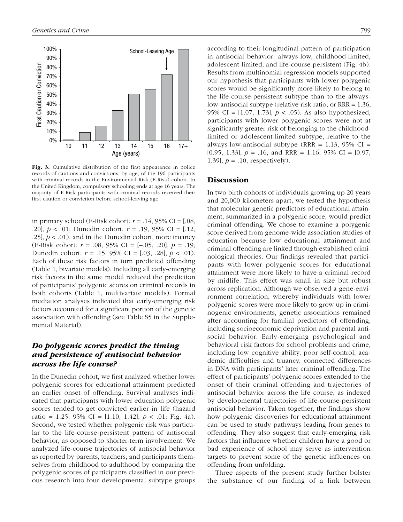

Fig. 3. Cumulative distribution of the first appearance in police records of cautions and convictions, by age, of the 196 participants with criminal records in the Environmental Risk (E-Risk) cohort. In the United Kingdom, compulsory schooling ends at age 16 years. The majority of E-Risk participants with criminal records received their first caution or conviction before school-leaving age.

in primary school (E-Risk cohort: *r* = .14, 95% CI = [.08, .20], *p* < .01; Dunedin cohort: *r* = .19, 95% CI = [.12, .25],  $p < .01$ ), and in the Dunedin cohort, more truancy (E-Risk cohort: *r* = .08, 95% CI = [−.05, .20], *p* = .19; Dunedin cohort: *r* = .15, 95% CI = [.03, .28], *p* < .01). Each of these risk factors in turn predicted offending (Table 1, bivariate models). Including all early-emerging risk factors in the same model reduced the prediction of participants' polygenic scores on criminal records in both cohorts (Table 1, multivariate models). Formal mediation analyses indicated that early-emerging risk factors accounted for a significant portion of the genetic association with offending (see [Table S5 in the Supple](http://journals.sagepub.com/doi/suppl/10.1177/0956797617744542)[mental Material\)](http://journals.sagepub.com/doi/suppl/10.1177/0956797617744542).

## *Do polygenic scores predict the timing and persistence of antisocial behavior across the life course?*

In the Dunedin cohort, we first analyzed whether lower polygenic scores for educational attainment predicted an earlier onset of offending. Survival analyses indicated that participants with lower education polygenic scores tended to get convicted earlier in life (hazard ratio = 1.25, 95% CI = [1.10, 1.42], *p* < .01; Fig. 4a). Second, we tested whether polygenic risk was particular to the life-course-persistent pattern of antisocial behavior, as opposed to shorter-term involvement. We analyzed life-course trajectories of antisocial behavior as reported by parents, teachers, and participants themselves from childhood to adulthood by comparing the polygenic scores of participants classified in our previous research into four developmental subtype groups according to their longitudinal pattern of participation in antisocial behavior: always-low, childhood-limited, adolescent-limited, and life-course persistent (Fig. 4b). Results from multinomial regression models supported our hypothesis that participants with lower polygenic scores would be significantly more likely to belong to the life-course-persistent subtype than to the alwayslow-antisocial subtype (relative-risk ratio, or RRR = 1.36, 95% CI = [1.07, 1.73], *p* < .05). As also hypothesized, participants with lower polygenic scores were not at significantly greater risk of belonging to the childhoodlimited or adolescent-limited subtype, relative to the always-low-antisocial subtype (RRR =  $1.13$ , 95% CI = [0.95, 1.33],  $p = 0.16$ , and RRR = 1.16, 95% CI = [0.97, 1.39],  $p = .10$ , respectively).

### Discussion

In two birth cohorts of individuals growing up 20 years and 20,000 kilometers apart, we tested the hypothesis that molecular-genetic predictors of educational attainment, summarized in a polygenic score, would predict criminal offending. We chose to examine a polygenic score derived from genome-wide association studies of education because low educational attainment and criminal offending are linked through established criminological theories. Our findings revealed that participants with lower polygenic scores for educational attainment were more likely to have a criminal record by midlife. This effect was small in size but robust across replication. Although we observed a gene-environment correlation, whereby individuals with lower polygenic scores were more likely to grow up in criminogenic environments, genetic associations remained after accounting for familial predictors of offending, including socioeconomic deprivation and parental antisocial behavior. Early-emerging psychological and behavioral risk factors for school problems and crime, including low cognitive ability, poor self-control, academic difficulties and truancy, connected differences in DNA with participants' later criminal offending. The effect of participants' polygenic scores extended to the onset of their criminal offending and trajectories of antisocial behavior across the life course, as indexed by developmental trajectories of life-course-persistent antisocial behavior. Taken together, the findings show how polygenic discoveries for educational attainment can be used to study pathways leading from genes to offending. They also suggest that early-emerging risk factors that influence whether children have a good or bad experience of school may serve as intervention targets to prevent some of the genetic influences on offending from unfolding.

Three aspects of the present study further bolster the substance of our finding of a link between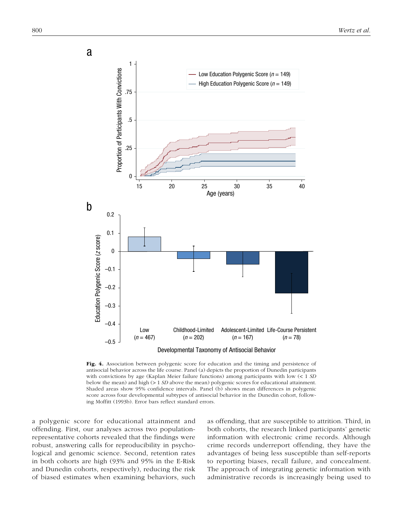

Fig. 4. Association between polygenic score for education and the timing and persistence of antisocial behavior across the life course. Panel (a) depicts the proportion of Dunedin participants with convictions by age (Kaplan Meier failure functions) among participants with low (< 1 *SD* below the mean) and high (> 1 *SD* above the mean) polygenic scores for educational attainment. Shaded areas show 95% confidence intervals. Panel (b) shows mean differences in polygenic score across four developmental subtypes of antisocial behavior in the Dunedin cohort, following Moffitt (1993b). Error bars reflect standard errors.

a polygenic score for educational attainment and offending. First, our analyses across two populationrepresentative cohorts revealed that the findings were robust, answering calls for reproducibility in psychological and genomic science. Second, retention rates in both cohorts are high (93% and 95% in the E-Risk and Dunedin cohorts, respectively), reducing the risk of biased estimates when examining behaviors, such

as offending, that are susceptible to attrition. Third, in both cohorts, the research linked participants' genetic information with electronic crime records. Although crime records underreport offending, they have the advantages of being less susceptible than self-reports to reporting biases, recall failure, and concealment. The approach of integrating genetic information with administrative records is increasingly being used to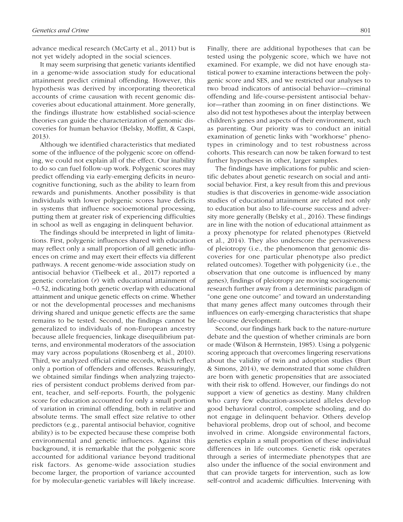advance medical research (McCarty et al., 2011) but is not yet widely adopted in the social sciences.

It may seem surprising that genetic variants identified in a genome-wide association study for educational attainment predict criminal offending. However, this hypothesis was derived by incorporating theoretical accounts of crime causation with recent genomic discoveries about educational attainment. More generally, the findings illustrate how established social-science theories can guide the characterization of genomic discoveries for human behavior (Belsky, Moffitt, & Caspi, 2013).

Although we identified characteristics that mediated some of the influence of the polygenic score on offending, we could not explain all of the effect. Our inability to do so can fuel follow-up work. Polygenic scores may predict offending via early-emerging deficits in neurocognitive functioning, such as the ability to learn from rewards and punishments. Another possibility is that individuals with lower polygenic scores have deficits in systems that influence socioemotional processing, putting them at greater risk of experiencing difficulties in school as well as engaging in delinquent behavior.

The findings should be interpreted in light of limitations. First, polygenic influences shared with education may reflect only a small proportion of all genetic influences on crime and may exert their effects via different pathways. A recent genome-wide association study on antisocial behavior (Tielbeek et al., 2017) reported a genetic correlation (*r*) with educational attainment of −0.52, indicating both genetic overlap with educational attainment and unique genetic effects on crime. Whether or not the developmental processes and mechanisms driving shared and unique genetic effects are the same remains to be tested. Second, the findings cannot be generalized to individuals of non-European ancestry because allele frequencies, linkage disequilibrium patterns, and environmental moderators of the association may vary across populations (Rosenberg et al., 2010). Third, we analyzed official crime records, which reflect only a portion of offenders and offenses. Reassuringly, we obtained similar findings when analyzing trajectories of persistent conduct problems derived from parent, teacher, and self-reports. Fourth, the polygenic score for education accounted for only a small portion of variation in criminal offending, both in relative and absolute terms. The small effect size relative to other predictors (e.g., parental antisocial behavior, cognitive ability) is to be expected because these comprise both environmental and genetic influences. Against this background, it is remarkable that the polygenic score accounted for additional variance beyond traditional risk factors. As genome-wide association studies become larger, the proportion of variance accounted for by molecular-genetic variables will likely increase. Finally, there are additional hypotheses that can be tested using the polygenic score, which we have not examined. For example, we did not have enough statistical power to examine interactions between the polygenic score and SES, and we restricted our analyses to two broad indicators of antisocial behavior—criminal offending and life-course-persistent antisocial behavior—rather than zooming in on finer distinctions. We also did not test hypotheses about the interplay between children's genes and aspects of their environment, such as parenting. Our priority was to conduct an initial examination of genetic links with "workhorse" phenotypes in criminology and to test robustness across cohorts. This research can now be taken forward to test further hypotheses in other, larger samples.

The findings have implications for public and scientific debates about genetic research on social and antisocial behavior. First, a key result from this and previous studies is that discoveries in genome-wide association studies of educational attainment are related not only to education but also to life-course success and adversity more generally (Belsky et al., 2016). These findings are in line with the notion of educational attainment as a proxy phenotype for related phenotypes (Rietveld et al., 2014). They also underscore the pervasiveness of pleiotropy (i.e., the phenomenon that genomic discoveries for one particular phenotype also predict related outcomes). Together with polygenicity (i.e., the observation that one outcome is influenced by many genes), findings of pleiotropy are moving sociogenomic research further away from a deterministic paradigm of "one gene one outcome" and toward an understanding that many genes affect many outcomes through their influences on early-emerging characteristics that shape life-course development.

Second, our findings hark back to the nature-nurture debate and the question of whether criminals are born or made (Wilson & Herrnstein, 1985). Using a polygenic scoring approach that overcomes lingering reservations about the validity of twin and adoption studies (Burt & Simons, 2014), we demonstrated that some children are born with genetic propensities that are associated with their risk to offend. However, our findings do not support a view of genetics as destiny. Many children who carry few education-associated alleles develop good behavioral control, complete schooling, and do not engage in delinquent behavior. Others develop behavioral problems, drop out of school, and become involved in crime. Alongside environmental factors, genetics explain a small proportion of these individual differences in life outcomes. Genetic risk operates through a series of intermediate phenotypes that are also under the influence of the social environment and that can provide targets for intervention, such as low self-control and academic difficulties. Intervening with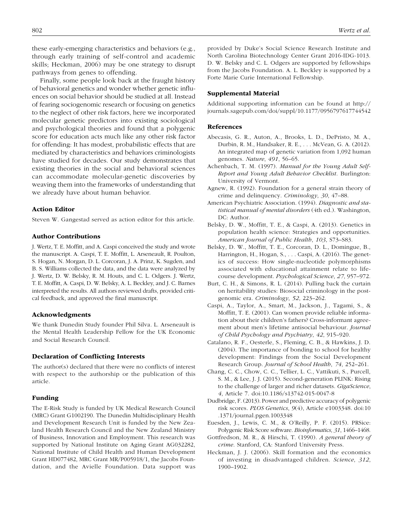these early-emerging characteristics and behaviors (e.g., through early training of self-control and academic skills; Heckman, 2006) may be one strategy to disrupt pathways from genes to offending.

Finally, some people look back at the fraught history of behavioral genetics and wonder whether genetic influences on social behavior should be studied at all. Instead of fearing sociogenomic research or focusing on genetics to the neglect of other risk factors, here we incorporated molecular genetic predictors into existing sociological and psychological theories and found that a polygenic score for education acts much like any other risk factor for offending: It has modest, probabilistic effects that are mediated by characteristics and behaviors criminologists have studied for decades. Our study demonstrates that existing theories in the social and behavioral sciences can accommodate molecular-genetic discoveries by weaving them into the frameworks of understanding that we already have about human behavior.

#### Action Editor

Steven W. Gangestad served as action editor for this article.

#### Author Contributions

J. Wertz, T. E. Moffitt, and A. Caspi conceived the study and wrote the manuscript. A. Caspi, T. E. Moffitt, L. Arseneault, R. Poulton, S. Hogan, N. Morgan, D. L. Corcoran, J. A. Prinz, K. Sugden, and B. S. Williams collected the data, and the data were analyzed by J. Wertz, D. W. Belsky, R. M. Houts, and C. L. Odgers. J. Wertz, T. E. Moffitt, A. Caspi, D. W. Belsky, A. L. Beckley, and J. C. Barnes interpreted the results. All authors reviewed drafts, provided critical feedback, and approved the final manuscript.

#### Acknowledgments

We thank Dunedin Study founder Phil Silva. L. Arseneault is the Mental Health Leadership Fellow for the UK Economic and Social Research Council.

### Declaration of Conflicting Interests

The author(s) declared that there were no conflicts of interest with respect to the authorship or the publication of this article.

### Funding

The E-Risk Study is funded by UK Medical Research Council (MRC) Grant G1002190. The Dunedin Multidisciplinary Health and Development Research Unit is funded by the New Zealand Health Research Council and the New Zealand Ministry of Business, Innovation and Employment. This research was supported by National Institute on Aging Grant AG032282, National Institute of Child Health and Human Development Grant HD077482, MRC Grant MR/P005918/1, the Jacobs Foundation, and the Avielle Foundation. Data support was

provided by Duke's Social Science Research Institute and North Carolina Biotechnology Center Grant 2016-IDG-1013. D. W. Belsky and C. L. Odgers are supported by fellowships from the Jacobs Foundation. A. L. Beckley is supported by a Forte Marie Curie International Fellowship.

#### Supplemental Material

Additional supporting information can be found at [http://](http://journals.sagepub.com/doi/suppl/10.1177/0956797617744542) [journals.sagepub.com/doi/suppl/10.1177/0956797617744542](http://journals.sagepub.com/doi/suppl/10.1177/0956797617744542)

#### References

- Abecasis, G. R., Auton, A., Brooks, L. D., DePristo, M. A., Durbin, R. M., Handsaker, R. E., . . . McVean, G. A. (2012). An integrated map of genetic variation from 1,092 human genomes. *Nature*, *491*, 56–65.
- Achenbach, T. M. (1997). *Manual for the Young Adult Self-Report and Young Adult Behavior Checklist*. Burlington: University of Vermont.
- Agnew, R. (1992). Foundation for a general strain theory of crime and delinquency. *Criminology*, *30*, 47–88.
- American Psychiatric Association. (1994). *Diagnostic and statistical manual of mental disorders* (4th ed.). Washington, DC: Author.
- Belsky, D. W., Moffitt, T. E., & Caspi, A. (2013). Genetics in population health science: Strategies and opportunities. *American Journal of Public Health*, *103*, S73–S83.
- Belsky, D. W., Moffitt, T. E., Corcoran, D. L., Domingue, B., Harrington, H., Hogan, S., . . . Caspi, A. (2016). The genetics of success: How single-nucleotide polymorphisms associated with educational attainment relate to lifecourse development. *Psychological Science*, *27*, 957–972.
- Burt, C. H., & Simons, R. L. (2014). Pulling back the curtain on heritability studies: Biosocial criminology in the postgenomic era. *Criminology*, *52*, 223–262.
- Caspi, A., Taylor, A., Smart, M., Jackson, J., Tagami, S., & Moffitt, T. E. (2001). Can women provide reliable information about their children's fathers? Cross-informant agreement about men's lifetime antisocial behaviour. *Journal of Child Psychology and Psychiatry*, *42*, 915–920.
- Catalano, R. F., Oesterle, S., Fleming, C. B., & Hawkins, J. D. (2004). The importance of bonding to school for healthy development: Findings from the Social Development Research Group. *Journal of School Health*, *74*, 252–261.
- Chang, C. C., Chow, C. C., Tellier, L. C., Vattikuti, S., Purcell, S. M., & Lee, J. J. (2015). Second-generation PLINK: Rising to the challenge of larger and richer datasets. *GigaScience*, *4*, Article 7. doi:10.1186/s13742-015-0047-8
- Dudbridge, F. (2013). Power and predictive accuracy of polygenic risk scores. *PLOS Genetics*, *9*(4), Article e1003348. doi:10 .1371/journal.pgen.1003348
- Euesden, J., Lewis, C. M., & O'Reilly, P. F. (2015). PRSice: Polygenic Risk Score software. *Bioinformatics*, *31*, 1466–1468.
- Gottfredson, M. R., & Hirschi, T. (1990). *A general theory of crime*. Stanford, CA: Stanford University Press.
- Heckman, J. J. (2006). Skill formation and the economics of investing in disadvantaged children. *Science*, *312*, 1900–1902.